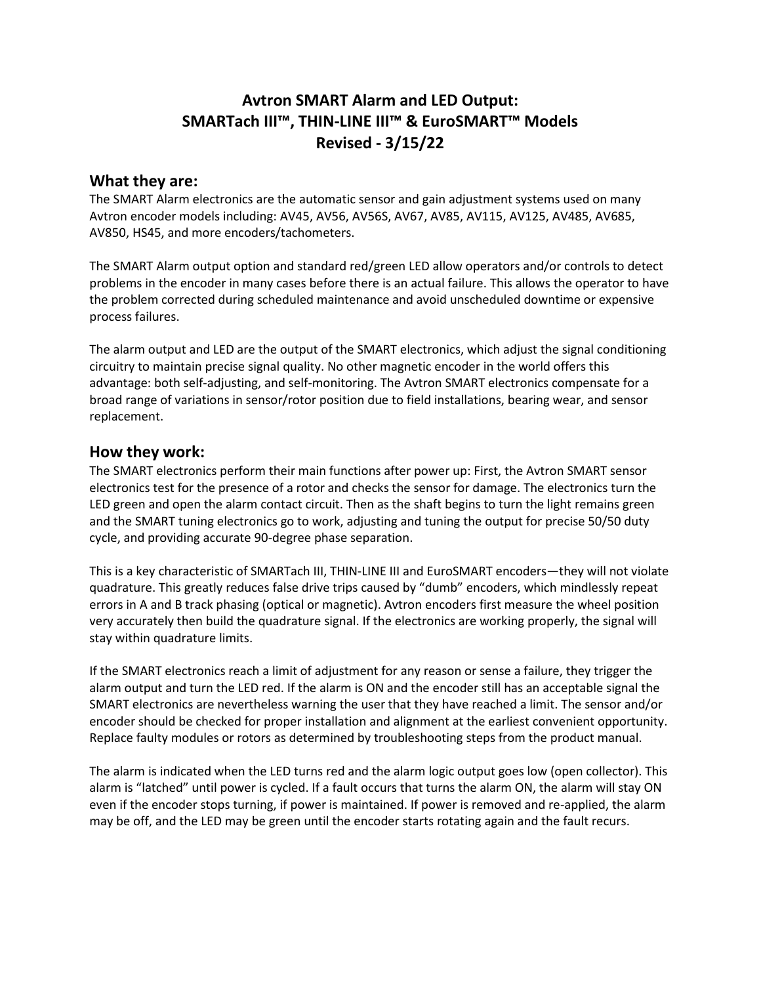# **Avtron SMART Alarm and LED Output: SMARTach III™, THIN-LINE III™ & EuroSMART™ Models Revised - 3/15/22**

#### **What they are:**

The SMART Alarm electronics are the automatic sensor and gain adjustment systems used on many Avtron encoder models including: AV45, AV56, AV56S, AV67, AV85, AV115, AV125, AV485, AV685, AV850, HS45, and more encoders/tachometers.

The SMART Alarm output option and standard red/green LED allow operators and/or controls to detect problems in the encoder in many cases before there is an actual failure. This allows the operator to have the problem corrected during scheduled maintenance and avoid unscheduled downtime or expensive process failures.

The alarm output and LED are the output of the SMART electronics, which adjust the signal conditioning circuitry to maintain precise signal quality. No other magnetic encoder in the world offers this advantage: both self-adjusting, and self-monitoring. The Avtron SMART electronics compensate for a broad range of variations in sensor/rotor position due to field installations, bearing wear, and sensor replacement.

### **How they work:**

The SMART electronics perform their main functions after power up: First, the Avtron SMART sensor electronics test for the presence of a rotor and checks the sensor for damage. The electronics turn the LED green and open the alarm contact circuit. Then as the shaft begins to turn the light remains green and the SMART tuning electronics go to work, adjusting and tuning the output for precise 50/50 duty cycle, and providing accurate 90-degree phase separation.

This is a key characteristic of SMARTach III, THIN-LINE III and EuroSMART encoders—they will not violate quadrature. This greatly reduces false drive trips caused by "dumb" encoders, which mindlessly repeat errors in A and B track phasing (optical or magnetic). Avtron encoders first measure the wheel position very accurately then build the quadrature signal. If the electronics are working properly, the signal will stay within quadrature limits.

If the SMART electronics reach a limit of adjustment for any reason or sense a failure, they trigger the alarm output and turn the LED red. If the alarm is ON and the encoder still has an acceptable signal the SMART electronics are nevertheless warning the user that they have reached a limit. The sensor and/or encoder should be checked for proper installation and alignment at the earliest convenient opportunity. Replace faulty modules or rotors as determined by troubleshooting steps from the product manual.

The alarm is indicated when the LED turns red and the alarm logic output goes low (open collector). This alarm is "latched" until power is cycled. If a fault occurs that turns the alarm ON, the alarm will stay ON even if the encoder stops turning, if power is maintained. If power is removed and re-applied, the alarm may be off, and the LED may be green until the encoder starts rotating again and the fault recurs.